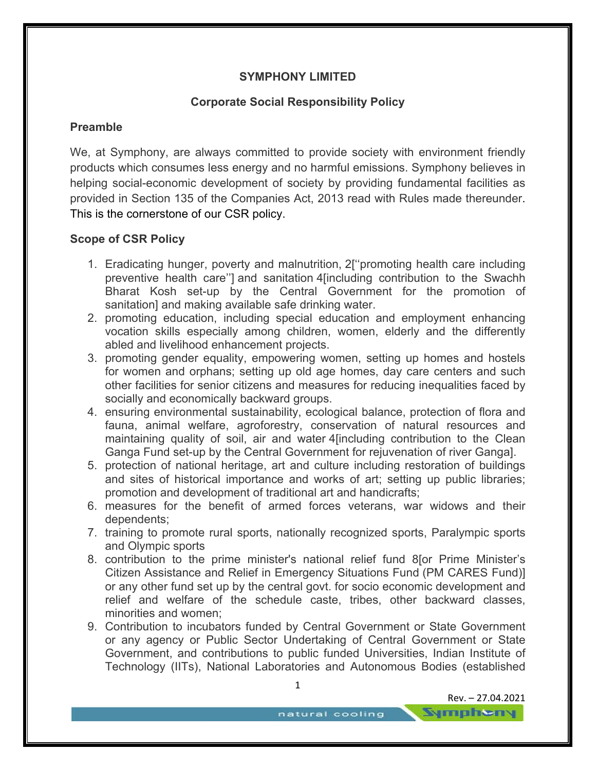# **SYMPHONY LIMITED**

## **Corporate Social Responsibility Policy**

## **Preamble**

We, at Symphony, are always committed to provide society with environment friendly products which consumes less energy and no harmful emissions. Symphony believes in helping social-economic development of society by providing fundamental facilities as provided in Section 135 of the Companies Act, 2013 read with Rules made thereunder. This is the cornerstone of our CSR policy.

## **Scope of CSR Policy**

- 1. Eradicating hunger, poverty and malnutrition, 2[''promoting health care including preventive health care''] and sanitation 4[including contribution to the Swachh Bharat Kosh set-up by the Central Government for the promotion of sanitation] and making available safe drinking water.
- 2. promoting education, including special education and employment enhancing vocation skills especially among children, women, elderly and the differently abled and livelihood enhancement projects.
- 3. promoting gender equality, empowering women, setting up homes and hostels for women and orphans; setting up old age homes, day care centers and such other facilities for senior citizens and measures for reducing inequalities faced by socially and economically backward groups.
- 4. ensuring environmental sustainability, ecological balance, protection of flora and fauna, animal welfare, agroforestry, conservation of natural resources and maintaining quality of soil, air and water 4[including contribution to the Clean Ganga Fund set-up by the Central Government for rejuvenation of river Ganga].
- 5. protection of national heritage, art and culture including restoration of buildings and sites of historical importance and works of art; setting up public libraries; promotion and development of traditional art and handicrafts;
- 6. measures for the benefit of armed forces veterans, war widows and their dependents;
- 7. training to promote rural sports, nationally recognized sports, Paralympic sports and Olympic sports
- 8. contribution to the prime minister's national relief fund 8[or Prime Minister's Citizen Assistance and Relief in Emergency Situations Fund (PM CARES Fund)] or any other fund set up by the central govt. for socio economic development and relief and welfare of the schedule caste, tribes, other backward classes, minorities and women;
- 9. Contribution to incubators funded by Central Government or State Government or any agency or Public Sector Undertaking of Central Government or State Government, and contributions to public funded Universities, Indian Institute of Technology (IITs), National Laboratories and Autonomous Bodies (established

Rev. – 27.04.2021

**Sympheny**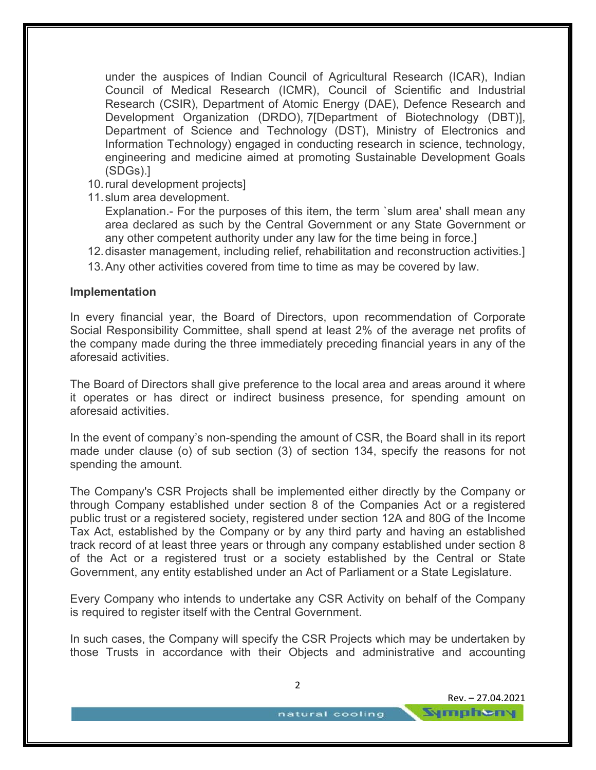under the auspices of Indian Council of Agricultural Research (ICAR), Indian Council of Medical Research (ICMR), Council of Scientific and Industrial Research (CSIR), Department of Atomic Energy (DAE), Defence Research and Development Organization (DRDO), 7[Department of Biotechnology (DBT)], Department of Science and Technology (DST), Ministry of Electronics and Information Technology) engaged in conducting research in science, technology, engineering and medicine aimed at promoting Sustainable Development Goals (SDGs).]

- 10. rural development projects]
- 11. slum area development.

Explanation.- For the purposes of this item, the term `slum area' shall mean any area declared as such by the Central Government or any State Government or any other competent authority under any law for the time being in force.]

- 12. disaster management, including relief, rehabilitation and reconstruction activities.]
- 13. Any other activities covered from time to time as may be covered by law.

#### **Implementation**

In every financial year, the Board of Directors, upon recommendation of Corporate Social Responsibility Committee, shall spend at least 2% of the average net profits of the company made during the three immediately preceding financial years in any of the aforesaid activities.

The Board of Directors shall give preference to the local area and areas around it where it operates or has direct or indirect business presence, for spending amount on aforesaid activities.

In the event of company's non-spending the amount of CSR, the Board shall in its report made under clause (o) of sub section (3) of section 134, specify the reasons for not spending the amount.

The Company's CSR Projects shall be implemented either directly by the Company or through Company established under section 8 of the Companies Act or a registered public trust or a registered society, registered under section 12A and 80G of the Income Tax Act, established by the Company or by any third party and having an established track record of at least three years or through any company established under section 8 of the Act or a registered trust or a society established by the Central or State Government, any entity established under an Act of Parliament or a State Legislature.

Every Company who intends to undertake any CSR Activity on behalf of the Company is required to register itself with the Central Government.

In such cases, the Company will specify the CSR Projects which may be undertaken by those Trusts in accordance with their Objects and administrative and accounting

2

Rev. – 27.04.2021

**Sympheny**